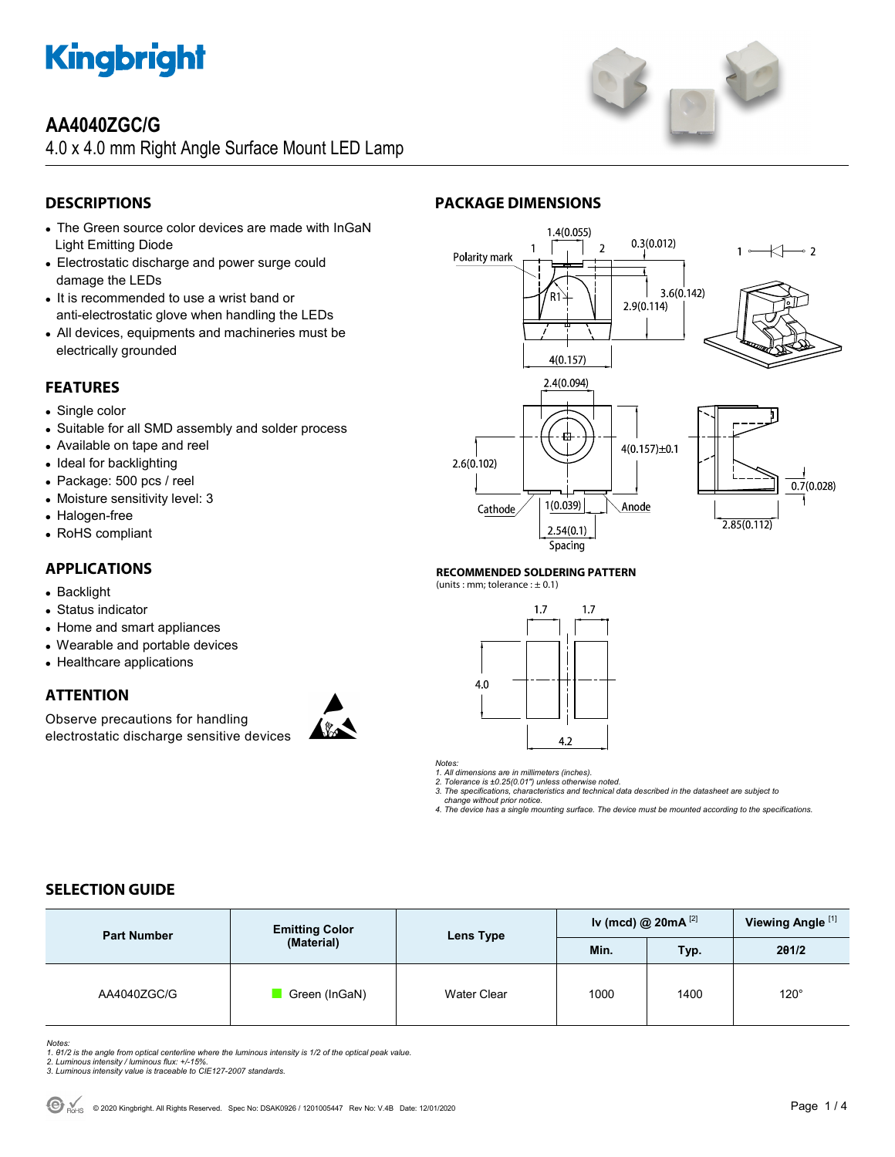

## **AA4040ZGC/G**

4.0 x 4.0 mm Right Angle Surface Mount LED Lamp

## **DESCRIPTIONS**

- The Green source color devices are made with InGaN Light Emitting Diode
- Electrostatic discharge and power surge could damage the LEDs
- It is recommended to use a wrist band or anti-electrostatic glove when handling the LEDs
- All devices, equipments and machineries must be electrically grounded

### **FEATURES**

- Single color
- Suitable for all SMD assembly and solder process
- Available on tape and reel
- Ideal for backlighting
- Package: 500 pcs / reel
- Moisture sensitivity level: 3
- Halogen-free
- RoHS compliant

### **APPLICATIONS**

- Backlight
- Status indicator
- Home and smart appliances
- Wearable and portable devices
- Healthcare applications

#### **ATTENTION**

Observe precautions for handling electrostatic discharge sensitive devices





#### **RECOMMENDED SOLDERING PATTERN**

**PACKAGE DIMENSIONS** 

(units : mm; tolerance  $: \pm 0.1$ )



*Notes:* 

*1. All dimensions are in millimeters (inches).* 

*2. Tolerance is ±0.25(0.01") unless otherwise noted. 3. The specifications, characteristics and technical data described in the datasheet are subject to* 

 *change without prior notice.* 

*4. The device has a single mounting surface. The device must be mounted according to the specifications.* 

### **SELECTION GUIDE**

| <b>Part Number</b> | <b>Emitting Color</b><br>(Material) | Lens Type   | Iv (mcd) @ $20mA$ <sup>[2]</sup> |      | Viewing Angle <sup>[1]</sup> |
|--------------------|-------------------------------------|-------------|----------------------------------|------|------------------------------|
|                    |                                     |             | Min.                             | Typ. | 201/2                        |
| AA4040ZGC/G        | Green (InGaN)                       | Water Clear | 1000                             | 1400 | $120^\circ$                  |

Notes:<br>1. 81/2 is the angle from optical centerline where the luminous intensity is 1/2 of the optical peak value.<br>2. Luminous intensity / luminous flux: +/-15%.<br>3. Luminous intensity value is traceable to CIE127-2007 stan



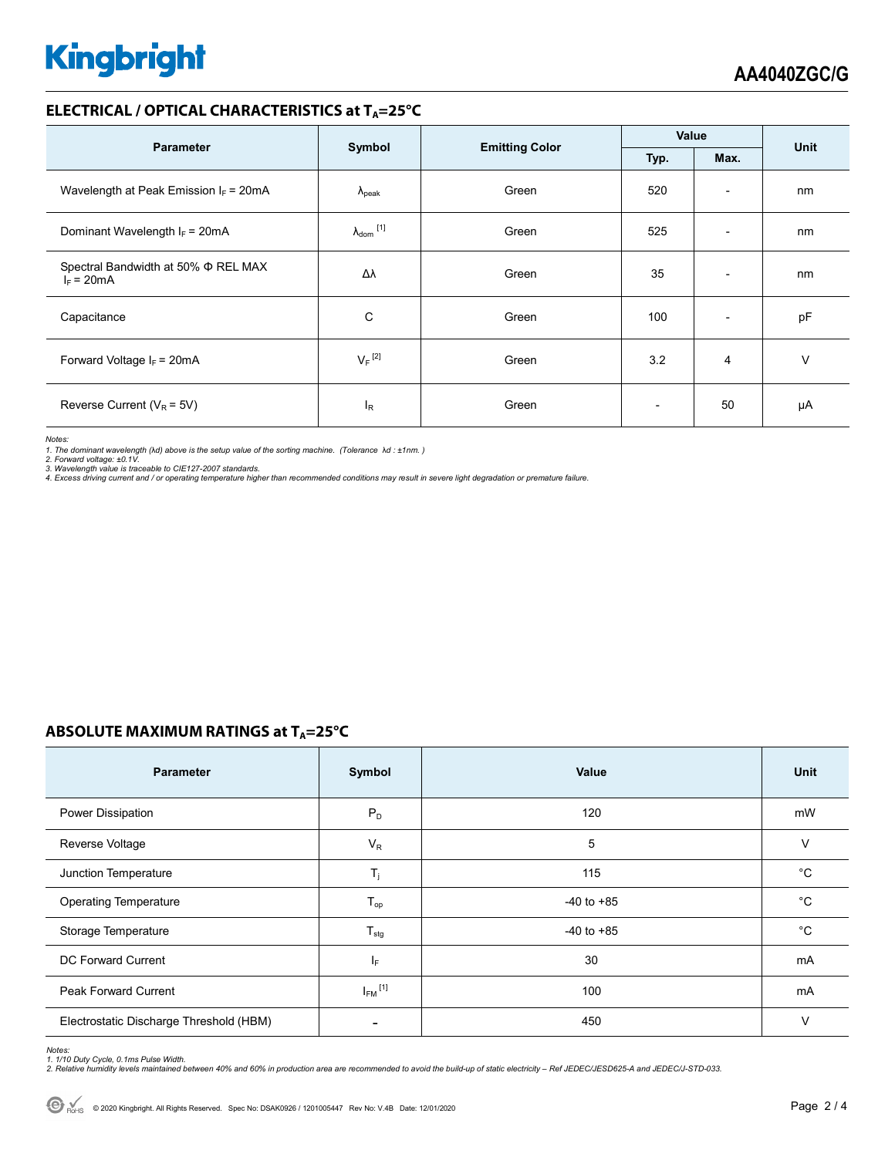# **Kingbright**

#### **ELECTRICAL / OPTICAL CHARACTERISTICS at TA=25°C**

| <b>Parameter</b>                                         |                            |                       | Value        |                          | <b>Unit</b> |
|----------------------------------------------------------|----------------------------|-----------------------|--------------|--------------------------|-------------|
|                                                          | Symbol                     | <b>Emitting Color</b> | Typ.<br>Max. |                          |             |
| Wavelength at Peak Emission $I_F$ = 20mA                 | $\Lambda_{\rm peak}$       | Green                 | 520          | $\overline{\phantom{a}}$ | nm          |
| Dominant Wavelength $I_F = 20mA$                         | $\lambda_{\text{dom}}$ [1] | Green                 | 525          | $\overline{\phantom{a}}$ | nm          |
| Spectral Bandwidth at 50% $\Phi$ REL MAX<br>$I_F = 20mA$ | Δλ                         | Green                 | 35           | $\overline{\phantom{a}}$ | nm          |
| Capacitance                                              | С                          | Green                 | 100          | $\overline{\phantom{a}}$ | pF          |
| Forward Voltage $I_F$ = 20mA                             | $V_F$ <sup>[2]</sup>       | Green                 | 3.2          | $\overline{4}$           | $\vee$      |
| Reverse Current ( $V_R$ = 5V)                            | $I_{R}$                    | Green                 |              | 50                       | μA          |

*Notes:* 

1. The dominant wavelength (λd) above is the setup value of the sorting machine. (Tolerance λd : ±1nm. )<br>2. Forward voltage: ±0.1V.<br>3. Wavelength value is traceable to CIE127-2007 standards.<br>4. Excess driving current and

#### **ABSOLUTE MAXIMUM RATINGS at T<sub>A</sub>=25°C**

| <b>Parameter</b>                        | Symbol                  | Value          | Unit        |
|-----------------------------------------|-------------------------|----------------|-------------|
| Power Dissipation                       | $P_D$                   | 120            | mW          |
| Reverse Voltage                         | $V_R$                   | 5              | V           |
| Junction Temperature                    | $T_{\rm j}$             | 115            | $^{\circ}C$ |
| <b>Operating Temperature</b>            | $T_{op}$                | $-40$ to $+85$ | $^{\circ}C$ |
| Storage Temperature                     | $T_{\text{stg}}$        | $-40$ to $+85$ | $^{\circ}C$ |
| DC Forward Current                      | IF.                     | 30             | mA          |
| Peak Forward Current                    | $I_{FM}$ <sup>[1]</sup> | 100            | mA          |
| Electrostatic Discharge Threshold (HBM) |                         | 450            | $\vee$      |

Notes:<br>1. 1/10 Duty Cycle, 0.1ms Pulse Width.<br>2. Relative humidity levels maintained between 40% and 60% in production area are recommended to avoid the build-up of static electricity – Ref JEDEC/JESD625-A and JEDEC/J-STD-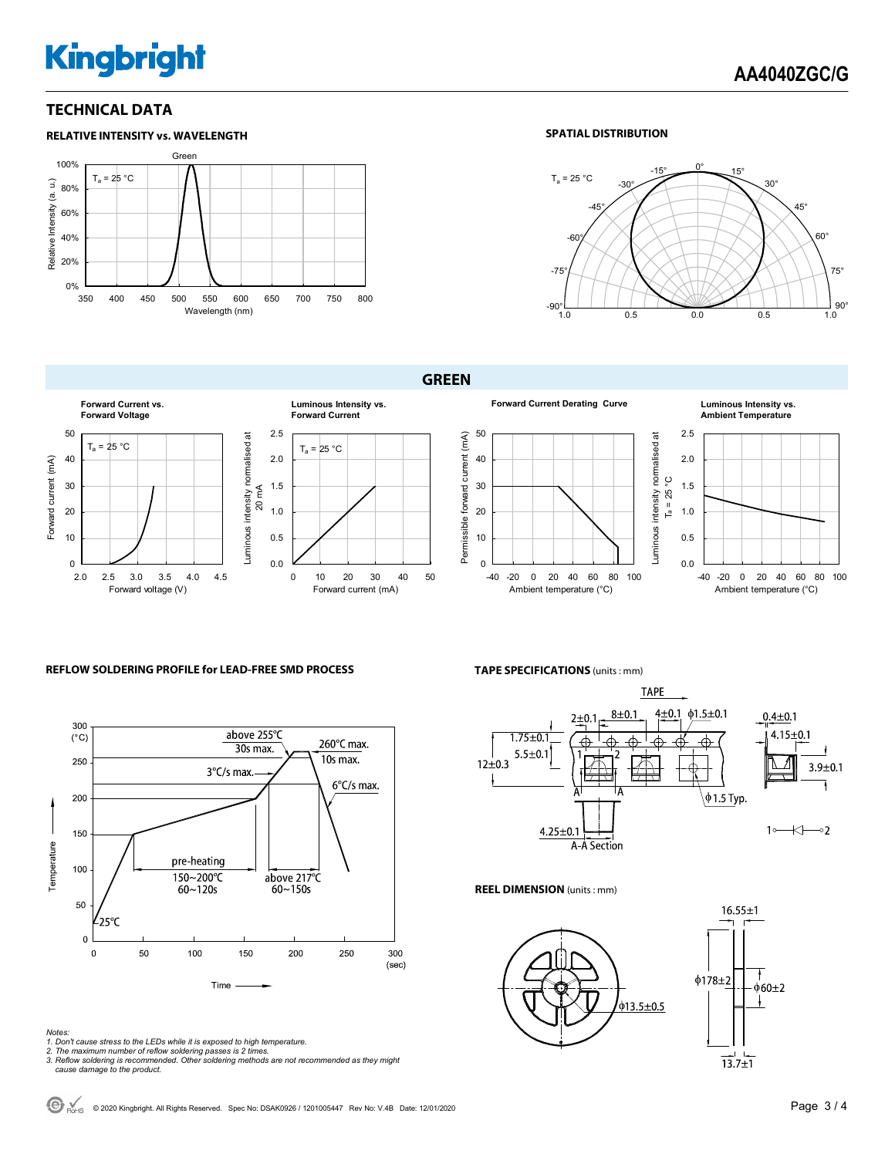# **Kingbright**

#### **TECHNICAL DATA**



#### **SPATIAL DISTRIBUTION**



#### **GREEN**



#### **Forward Current Derating Curve Luminous Intensity vs. Ambient Temperature**



#### **REFLOW SOLDERING PROFILE for LEAD-FREE SMD PROCESS**



#### *Notes:*

- *1. Don't cause stress to the LEDs while it is exposed to high temperature.*
- 
- *2. The maximum number of reflow soldering passes is 2 times. 3. Reflow soldering is recommended. Other soldering methods are not recommended as they might cause damage to the product.*

**TAPE SPECIFICATIONS** (units : mm)



 $\overline{\sigma}$ 

**REEL DIMENSION** (units : mm)